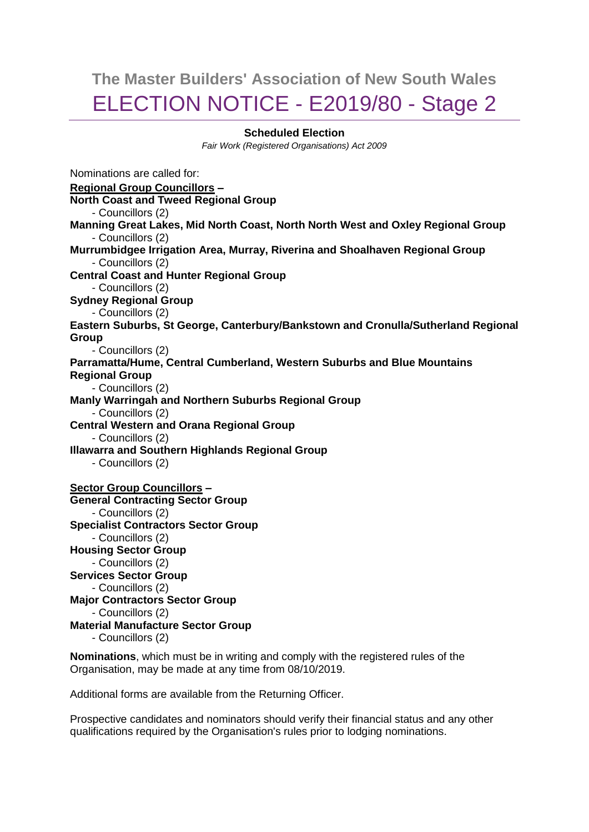# **The Master Builders' Association of New South Wales** ELECTION NOTICE - E2019/80 - Stage 2

### **Scheduled Election**

*Fair Work (Registered Organisations) Act 2009*

Nominations are called for: **Regional Group Councillors – North Coast and Tweed Regional Group** - Councillors (2) **Manning Great Lakes, Mid North Coast, North North West and Oxley Regional Group** - Councillors (2) **Murrumbidgee Irrigation Area, Murray, Riverina and Shoalhaven Regional Group** - Councillors (2) **Central Coast and Hunter Regional Group** - Councillors (2) **Sydney Regional Group** - Councillors (2) **Eastern Suburbs, St George, Canterbury/Bankstown and Cronulla/Sutherland Regional Group** - Councillors (2) **Parramatta/Hume, Central Cumberland, Western Suburbs and Blue Mountains Regional Group** - Councillors (2) **Manly Warringah and Northern Suburbs Regional Group** - Councillors (2) **Central Western and Orana Regional Group** - Councillors (2) **Illawarra and Southern Highlands Regional Group** - Councillors (2) **Sector Group Councillors – General Contracting Sector Group** - Councillors (2) **Specialist Contractors Sector Group** - Councillors (2) **Housing Sector Group** - Councillors (2) **Services Sector Group** - Councillors (2) **Major Contractors Sector Group** - Councillors (2) **Material Manufacture Sector Group** - Councillors (2)

**Nominations**, which must be in writing and comply with the registered rules of the Organisation, may be made at any time from 08/10/2019.

Additional forms are available from the Returning Officer.

Prospective candidates and nominators should verify their financial status and any other qualifications required by the Organisation's rules prior to lodging nominations.